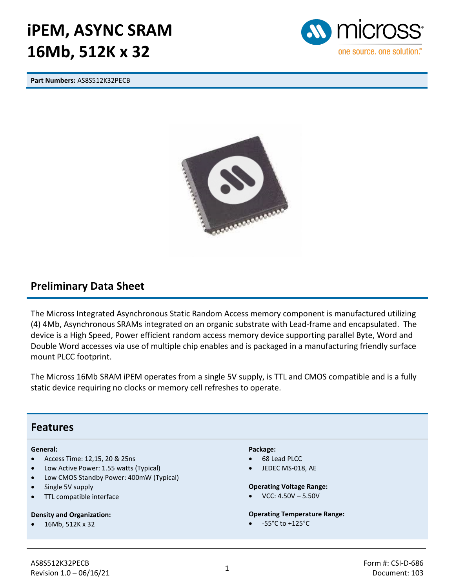# **iPEM, ASYNC SRAM 16Mb, 512K x 32**

**Part Numbers:** AS8S512K32PECB





### **Preliminary Data Sheet**

The Micross Integrated Asynchronous Static Random Access memory component is manufactured utilizing (4) 4Mb, Asynchronous SRAMs integrated on an organic substrate with Lead-frame and encapsulated. The device is a High Speed, Power efficient random access memory device supporting parallel Byte, Word and Double Word accesses via use of multiple chip enables and is packaged in a manufacturing friendly surface mount PLCC footprint.

The Micross 16Mb SRAM iPEM operates from a single 5V supply, is TTL and CMOS compatible and is a fully static device requiring no clocks or memory cell refreshes to operate.

#### **Features**

#### **General:**

- Access Time: 12,15, 20 & 25ns
- Low Active Power: 1.55 watts (Typical)
- Low CMOS Standby Power: 400mW (Typical)
- Single 5V supply
- TTL compatible interface

#### **Density and Organization:**

• 16Mb, 512K x 32

#### **Package:**

- 68 Lead PLCC
- JEDEC MS-018, AE

#### **Operating Voltage Range:**

 $VCC: 4.50V - 5.50V$ 

#### **Operating Temperature Range:**

• -55°C to +125°C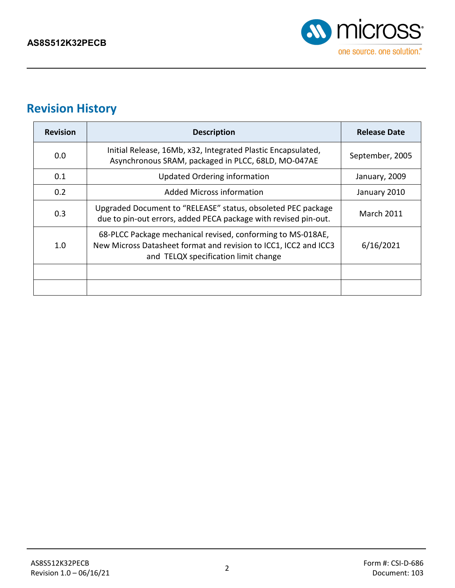

## **Revision History**

| <b>Revision</b> | <b>Description</b>                                                                                                                                                      | <b>Release Date</b> |
|-----------------|-------------------------------------------------------------------------------------------------------------------------------------------------------------------------|---------------------|
| 0.0             | Initial Release, 16Mb, x32, Integrated Plastic Encapsulated,<br>Asynchronous SRAM, packaged in PLCC, 68LD, MO-047AE                                                     | September, 2005     |
| 0.1             | Updated Ordering information                                                                                                                                            | January, 2009       |
| 0.2             | Added Micross information                                                                                                                                               | January 2010        |
| 0.3             | Upgraded Document to "RELEASE" status, obsoleted PEC package<br>due to pin-out errors, added PECA package with revised pin-out.                                         | <b>March 2011</b>   |
| 1.0             | 68-PLCC Package mechanical revised, conforming to MS-018AE,<br>New Micross Datasheet format and revision to ICC1, ICC2 and ICC3<br>and TELQX specification limit change | 6/16/2021           |
|                 |                                                                                                                                                                         |                     |
|                 |                                                                                                                                                                         |                     |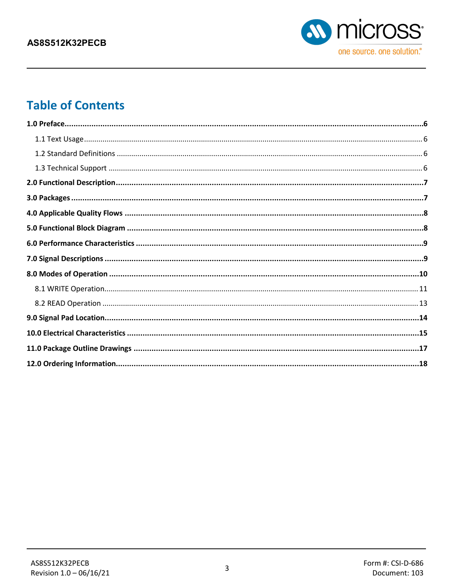

## **Table of Contents**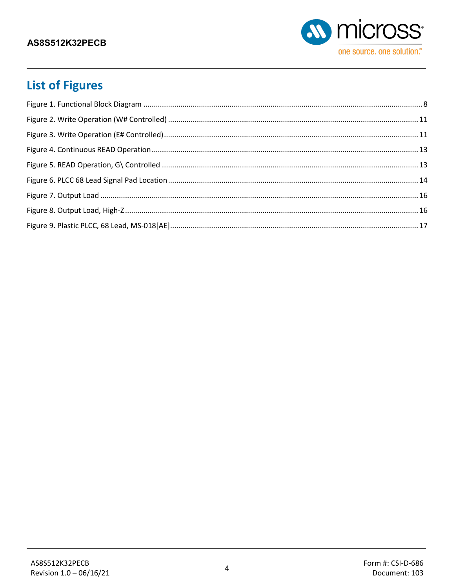

## **List of Figures**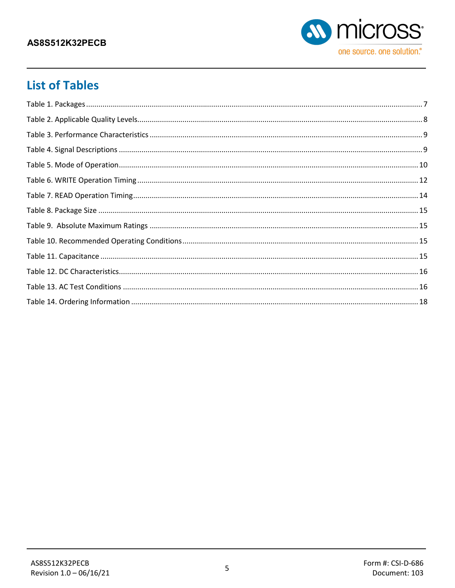

### **List of Tables**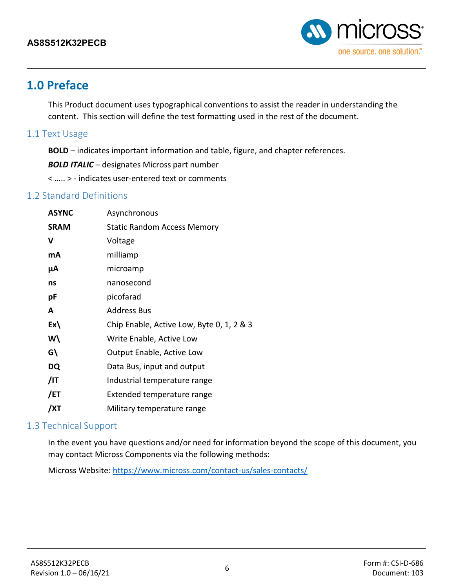

### <span id="page-5-0"></span>**1.0 Preface**

This Product document uses typographical conventions to assist the reader in understanding the content. This section will define the test formatting used in the rest of the document.

#### <span id="page-5-1"></span>1.1 Text Usage

**BOLD** – indicates important information and table, figure, and chapter references.

*BOLD ITALIC* – designates Micross part number

< ….. > - indicates user-entered text or comments

### <span id="page-5-2"></span>1.2 Standard Definitions

| <b>ASYNC</b>  | Asynchronous                              |
|---------------|-------------------------------------------|
| <b>SRAM</b>   | <b>Static Random Access Memory</b>        |
| v             | Voltage                                   |
| mA            | milliamp                                  |
| μA            | microamp                                  |
| ns            | nanosecond                                |
| рF            | picofarad                                 |
| A             | <b>Address Bus</b>                        |
| $Ex\setminus$ | Chip Enable, Active Low, Byte 0, 1, 2 & 3 |
| W۱            | Write Enable, Active Low                  |
| G\            | <b>Output Enable, Active Low</b>          |
| DQ            | Data Bus, input and output                |
| /IT           | Industrial temperature range              |
| /ET           | Extended temperature range                |
| /XT           | Military temperature range                |

### <span id="page-5-3"></span>1.3 Technical Support

In the event you have questions and/or need for information beyond the scope of this document, you may contact Micross Components via the following methods:

Micross Website: <https://www.micross.com/contact-us/sales-contacts/>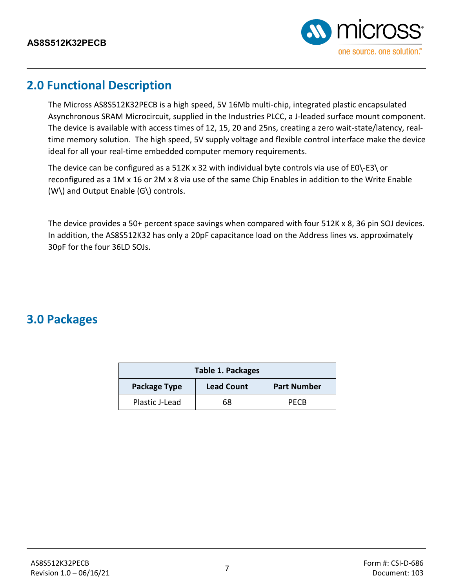

### <span id="page-6-0"></span>**2.0 Functional Description**

The Micross AS8S512K32PECB is a high speed, 5V 16Mb multi-chip, integrated plastic encapsulated Asynchronous SRAM Microcircuit, supplied in the Industries PLCC, a J-leaded surface mount component. The device is available with access times of 12, 15, 20 and 25ns, creating a zero wait-state/latency, realtime memory solution. The high speed, 5V supply voltage and flexible control interface make the device ideal for all your real-time embedded computer memory requirements.

The device can be configured as a 512K x 32 with individual byte controls via use of E0\-E3\ or reconfigured as a 1M x 16 or 2M x 8 via use of the same Chip Enables in addition to the Write Enable (W\) and Output Enable (G\) controls.

The device provides a 50+ percent space savings when compared with four 512K x 8, 36 pin SOJ devices. In addition, the AS8S512K32 has only a 20pF capacitance load on the Address lines vs. approximately 30pF for the four 36LD SOJs.

### <span id="page-6-1"></span>**3.0 Packages**

<span id="page-6-2"></span>

| <b>Table 1. Packages</b>                                |    |             |  |  |  |  |  |
|---------------------------------------------------------|----|-------------|--|--|--|--|--|
| <b>Lead Count</b><br>Package Type<br><b>Part Number</b> |    |             |  |  |  |  |  |
| Plastic J-Lead                                          | 68 | <b>PFCB</b> |  |  |  |  |  |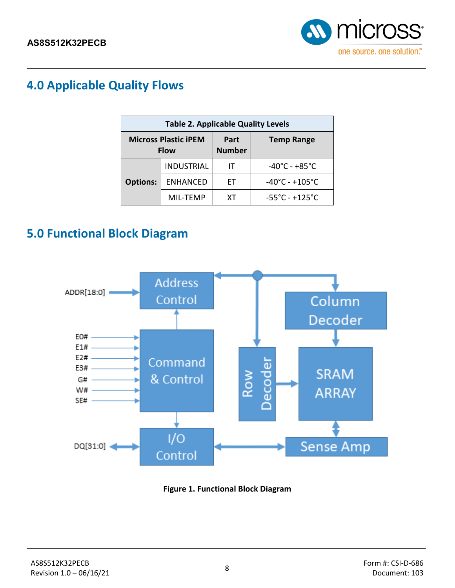

### <span id="page-7-0"></span>**4.0 Applicable Quality Flows**

<span id="page-7-3"></span>

| <b>Table 2. Applicable Quality Levels</b> |                                            |                       |                                     |  |  |  |  |  |
|-------------------------------------------|--------------------------------------------|-----------------------|-------------------------------------|--|--|--|--|--|
|                                           | <b>Micross Plastic iPEM</b><br><b>Flow</b> | Part<br><b>Number</b> | <b>Temp Range</b>                   |  |  |  |  |  |
|                                           | <b>INDUSTRIAL</b>                          |                       | $-40^{\circ}$ C - $+85^{\circ}$ C   |  |  |  |  |  |
| <b>Options:</b>                           | <b>ENHANCED</b>                            | FТ                    | $-40^{\circ}$ C - $+105^{\circ}$ C  |  |  |  |  |  |
|                                           | MIL-TEMP                                   | xт                    | $-55^{\circ}$ C - +125 $^{\circ}$ C |  |  |  |  |  |

### <span id="page-7-1"></span>**5.0 Functional Block Diagram**



<span id="page-7-2"></span>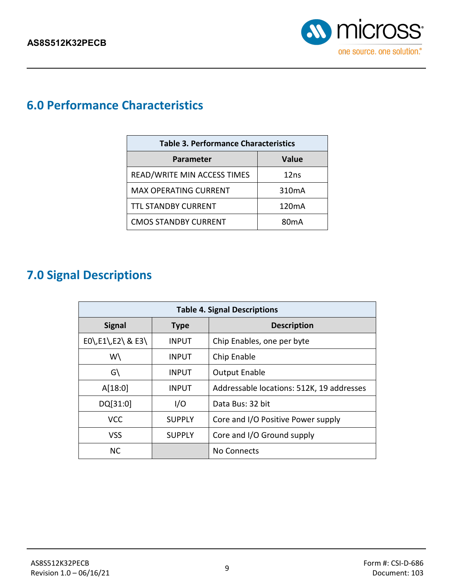

### <span id="page-8-0"></span>**6.0 Performance Characteristics**

<span id="page-8-2"></span>

| <b>Table 3. Performance Characteristics</b> |                    |  |  |  |  |  |  |
|---------------------------------------------|--------------------|--|--|--|--|--|--|
| <b>Parameter</b>                            | <b>Value</b>       |  |  |  |  |  |  |
| READ/WRITE MIN ACCESS TIMES                 | 12ns               |  |  |  |  |  |  |
| <b>MAX OPERATING CURRENT</b>                | 310 <sub>m</sub> A |  |  |  |  |  |  |
| <b>TTL STANDBY CURRENT</b>                  | 120 <sub>m</sub> A |  |  |  |  |  |  |
| <b>CMOS STANDBY CURRENT</b>                 | 80 <sub>m</sub> A  |  |  |  |  |  |  |

### <span id="page-8-1"></span>**7.0 Signal Descriptions**

<span id="page-8-3"></span>

| <b>Table 4. Signal Descriptions</b> |               |                                           |  |  |  |  |  |
|-------------------------------------|---------------|-------------------------------------------|--|--|--|--|--|
| <b>Signal</b>                       | <b>Type</b>   | <b>Description</b>                        |  |  |  |  |  |
| $E0\$ , $E1\$ , $E2\$ & $E3\$       | <b>INPUT</b>  | Chip Enables, one per byte                |  |  |  |  |  |
| W\                                  | <b>INPUT</b>  | Chip Enable                               |  |  |  |  |  |
| G\                                  | <b>INPUT</b>  | <b>Output Enable</b>                      |  |  |  |  |  |
| A[18:0]                             | <b>INPUT</b>  | Addressable locations: 512K, 19 addresses |  |  |  |  |  |
| DQ[31:0]                            | I/O           | Data Bus: 32 bit                          |  |  |  |  |  |
| <b>VCC</b>                          | <b>SUPPLY</b> | Core and I/O Positive Power supply        |  |  |  |  |  |
| VSS                                 | <b>SUPPLY</b> | Core and I/O Ground supply                |  |  |  |  |  |
| <b>NC</b>                           |               | <b>No Connects</b>                        |  |  |  |  |  |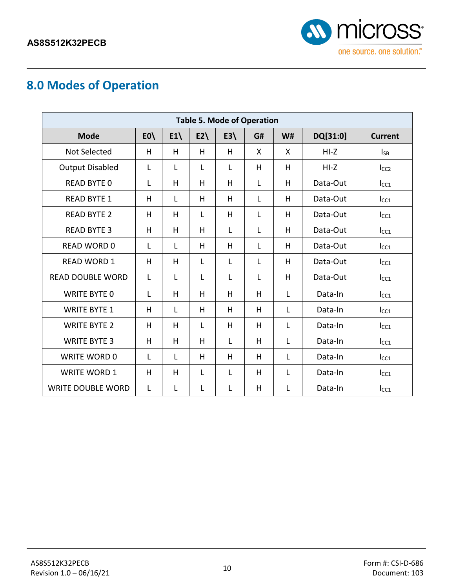

## <span id="page-9-0"></span>**8.0 Modes of Operation**

<span id="page-9-2"></span><span id="page-9-1"></span>

| <b>Table 5. Mode of Operation</b> |               |    |       |       |    |           |          |                  |  |  |
|-----------------------------------|---------------|----|-------|-------|----|-----------|----------|------------------|--|--|
| <b>Mode</b>                       | $E0\setminus$ | E1 | $E2\$ | $E3\$ | G# | <b>W#</b> | DQ[31:0] | <b>Current</b>   |  |  |
| <b>Not Selected</b>               | н             | H  | H     | H     | X  | X         | $HI-Z$   | $I_{SB}$         |  |  |
| <b>Output Disabled</b>            | L             | L  | L     | L     | H  | H         | $HI-Z$   | I <sub>CC2</sub> |  |  |
| <b>READ BYTE 0</b>                | L             | H  | H     | H     | L  | H         | Data-Out | $I_{CC1}$        |  |  |
| <b>READ BYTE 1</b>                | H             | L  | H     | H     | L  | H         | Data-Out | $I_{CC1}$        |  |  |
| <b>READ BYTE 2</b>                | H             | H  | L     | H     | L  | H         | Data-Out | $I_{CC1}$        |  |  |
| <b>READ BYTE 3</b>                | H             | H  | H     | L     | L  | H         | Data-Out | $I_{CC1}$        |  |  |
| <b>READ WORD 0</b>                | L             | Г  | H     | H     | L  | H         | Data-Out | $I_{CC1}$        |  |  |
| <b>READ WORD 1</b>                | н             | H  | L     | L     | L  | H         | Data-Out | $I_{CC1}$        |  |  |
| <b>READ DOUBLE WORD</b>           | L             | L  | L     | L     | L  | H         | Data-Out | $I_{CC1}$        |  |  |
| <b>WRITE BYTE 0</b>               | L             | H  | H     | H     | H  | L         | Data-In  | $I_{CC1}$        |  |  |
| <b>WRITE BYTE 1</b>               | H             | Г  | H     | H     | H  | L         | Data-In  | $ _{CC1}$        |  |  |
| <b>WRITE BYTE 2</b>               | H             | H  | L     | H     | H  | L         | Data-In  | $I_{CC1}$        |  |  |
| <b>WRITE BYTE 3</b>               | H             | H  | H     | L     | H  | L         | Data-In  | $I_{CC1}$        |  |  |
| <b>WRITE WORD 0</b>               | L             | L  | H     | H     | H  | L         | Data-In  | $I_{CC1}$        |  |  |
| <b>WRITE WORD 1</b>               | H             | H  | L     | L     | H  | L         | Data-In  | $I_{CC1}$        |  |  |
| <b>WRITE DOUBLE WORD</b>          | L             | L  | L     | L     | H  | L         | Data-In  | Icc1             |  |  |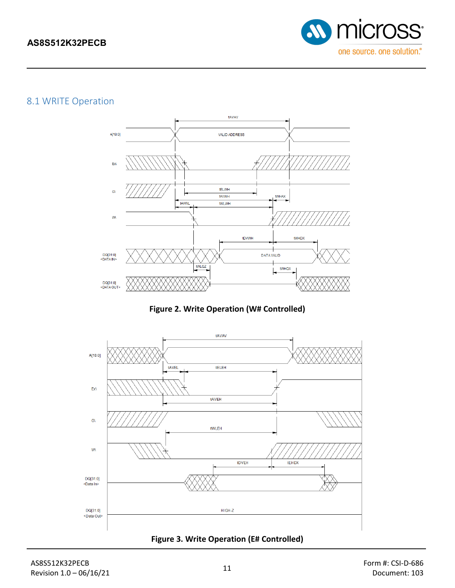

### <span id="page-10-0"></span>8.1 [WRITE Operation](#page-9-2)



**Figure 2. Write Operation (W# Controlled)**

<span id="page-10-1"></span>

<span id="page-10-2"></span>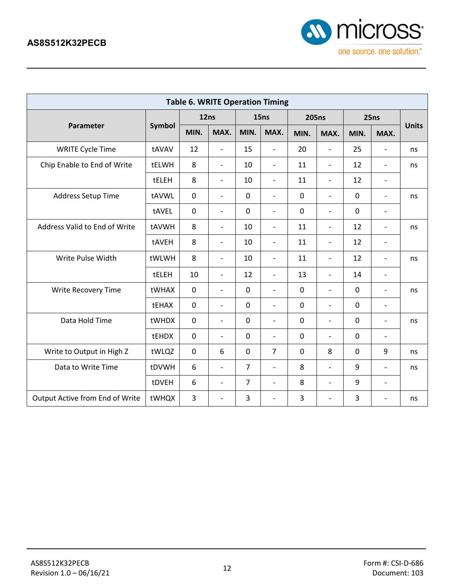

<span id="page-11-0"></span>

| <b>Table 6. WRITE Operation Timing</b> |        |             |                              |                |                              |              |                          |             |                          |              |
|----------------------------------------|--------|-------------|------------------------------|----------------|------------------------------|--------------|--------------------------|-------------|--------------------------|--------------|
|                                        |        | 12ns        |                              | 15ns           |                              | <b>205ns</b> |                          | 25ns        |                          |              |
| Parameter                              | Symbol | MIN.        | MAX.                         | MIN.           | MAX.                         | MIN.         | MAX.                     | MIN.        | MAX.                     | <b>Units</b> |
| <b>WRITE Cycle Time</b>                | tAVAV  | 12          | $\overline{\phantom{a}}$     | 15             | $\overline{\phantom{0}}$     | 20           | $\overline{\phantom{a}}$ | 25          |                          | ns           |
| Chip Enable to End of Write            | tELWH  | 8           | $\overline{\phantom{a}}$     | 10             | $\overline{\phantom{a}}$     | 11           | $\overline{\phantom{a}}$ | 12          | $\overline{\phantom{a}}$ | ns           |
|                                        | tELEH  | 8           | $\overline{\phantom{0}}$     | 10             | $\overline{\phantom{0}}$     | 11           | $\overline{\phantom{a}}$ | 12          | $\overline{\phantom{a}}$ |              |
| Address Setup Time                     | tAVWL  | $\mathbf 0$ | $\qquad \qquad \blacksquare$ | $\mathbf 0$    | $\overline{\phantom{0}}$     | $\mathbf 0$  | $\overline{\phantom{a}}$ | $\mathbf 0$ | $\overline{\phantom{a}}$ | ns           |
|                                        | tAVEL  | $\mathbf 0$ | $\overline{\phantom{0}}$     | $\mathbf 0$    | $\overline{a}$               | $\mathbf 0$  | $\overline{\phantom{0}}$ | $\mathbf 0$ | $\overline{\phantom{a}}$ |              |
| Address Valid to End of Write          | tAVWH  | 8           | $\overline{a}$               | 10             | $\overline{a}$               | 11           | $\overline{\phantom{0}}$ | 12          | $\overline{\phantom{a}}$ | ns           |
|                                        | tAVEH  | 8           | $\overline{\phantom{a}}$     | 10             | $\overline{\phantom{0}}$     | 11           | $\overline{\phantom{a}}$ | 12          | $\overline{\phantom{a}}$ |              |
| Write Pulse Width                      | tWLWH  | 8           | $\overline{\phantom{0}}$     | 10             | $\overline{\phantom{0}}$     | 11           | $\overline{\phantom{a}}$ | 12          | $\overline{\phantom{a}}$ | ns           |
|                                        | tELEH  | 10          | $\overline{\phantom{0}}$     | 12             | $\overline{\phantom{0}}$     | 13           | $\overline{\phantom{a}}$ | 14          | $\overline{\phantom{a}}$ |              |
| Write Recovery Time                    | tWHAX  | $\mathbf 0$ | $\overline{\phantom{a}}$     | 0              | $\overline{\phantom{0}}$     | $\mathbf 0$  | $\overline{\phantom{a}}$ | 0           | $\overline{\phantom{a}}$ | ns           |
|                                        | tEHAX  | $\mathbf 0$ | $\overline{\phantom{0}}$     | 0              | $\overline{\phantom{0}}$     | $\mathbf 0$  | $\overline{\phantom{a}}$ | 0           | $\overline{\phantom{a}}$ |              |
| Data Hold Time                         | tWHDX  | $\mathbf 0$ | $\overline{\phantom{0}}$     | 0              | $\overline{a}$               | $\mathbf 0$  | $\overline{\phantom{a}}$ | 0           | $\overline{\phantom{a}}$ | ns           |
|                                        | tEHDX  | $\mathbf 0$ | $\overline{a}$               | $\mathbf 0$    | $\overline{\phantom{a}}$     | $\mathbf 0$  | $\overline{a}$           | 0           | $\overline{\phantom{a}}$ |              |
| Write to Output in High Z              | tWLQZ  | $\mathbf 0$ | 6                            | $\mathbf 0$    | $\overline{7}$               | $\mathbf 0$  | 8                        | $\mathbf 0$ | 9                        | ns           |
| Data to Write Time                     | tDVWH  | 6           | $\overline{\phantom{a}}$     | $\overline{7}$ | $\overline{\phantom{0}}$     | 8            | $\overline{\phantom{a}}$ | 9           | $\overline{\phantom{a}}$ | ns           |
|                                        | tDVEH  | 6           | $\overline{\phantom{a}}$     | $\overline{7}$ | $\overline{\phantom{0}}$     | 8            | $\overline{\phantom{a}}$ | 9           | $\overline{\phantom{a}}$ |              |
| Output Active from End of Write        | tWHQX  | 3           | $\overline{\phantom{a}}$     | 3              | $\qquad \qquad \blacksquare$ | 3            | -                        | 3           | $\overline{a}$           | ns           |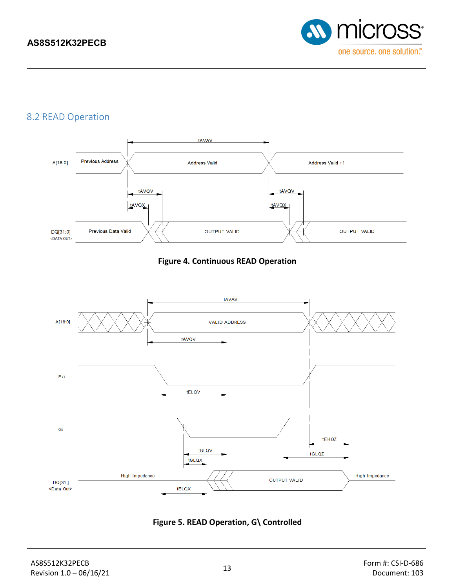

### <span id="page-12-0"></span>8.2 READ Operation



#### **Figure 4. Continuous READ Operation**

<span id="page-12-1"></span>

<span id="page-12-2"></span>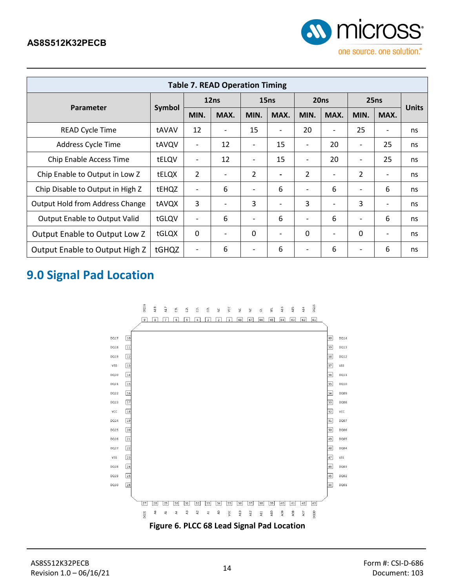

<span id="page-13-2"></span>

| <b>Table 7. READ Operation Timing</b>  |               |                              |                          |                          |                          |                          |                              |                          |                              |              |
|----------------------------------------|---------------|------------------------------|--------------------------|--------------------------|--------------------------|--------------------------|------------------------------|--------------------------|------------------------------|--------------|
|                                        |               | 12ns                         |                          | 15ns                     |                          | 20ns                     |                              | 25ns                     |                              |              |
| Parameter                              | <b>Symbol</b> | MIN.                         | MAX.                     | MIN.                     | MAX.                     | MIN.                     | MAX.                         | MIN.                     | MAX.                         | <b>Units</b> |
| <b>READ Cycle Time</b>                 | tAVAV         | 12                           | $\overline{\phantom{0}}$ | 15                       | $\overline{\phantom{a}}$ | 20                       | $\overline{\phantom{0}}$     | 25                       | $\overline{\phantom{0}}$     | ns           |
| Address Cycle Time                     | tAVQV         | $\overline{\phantom{a}}$     | 12                       | $\overline{\phantom{a}}$ | 15                       | $\overline{\phantom{a}}$ | 20                           | $\overline{\phantom{0}}$ | 25                           | ns           |
| Chip Enable Access Time                | tELQV         | $\qquad \qquad \blacksquare$ | 12                       | $\overline{\phantom{a}}$ | 15                       | $\overline{\phantom{0}}$ | 20                           | $\overline{\phantom{a}}$ | 25                           | ns           |
| Chip Enable to Output in Low Z         | tELQX         | 2                            |                          | $\overline{2}$           | $\blacksquare$           | $\overline{2}$           | $\qquad \qquad \blacksquare$ | $\overline{2}$           | -                            | ns           |
| Chip Disable to Output in High Z       | tEHQZ         |                              | 6                        | $\overline{\phantom{a}}$ | 6                        | $\overline{\phantom{0}}$ | 6                            | $\overline{\phantom{a}}$ | 6                            | ns           |
| <b>Output Hold from Address Change</b> | tAVQX         | $\overline{3}$               |                          | 3                        | $\overline{\phantom{0}}$ | 3                        | $\overline{\phantom{0}}$     | 3                        | $\overline{\phantom{0}}$     | ns           |
| <b>Output Enable to Output Valid</b>   | tGLQV         |                              | 6                        | $\overline{\phantom{a}}$ | 6                        | $\overline{\phantom{0}}$ | 6                            | $\overline{\phantom{a}}$ | 6                            | ns           |
| Output Enable to Output Low Z          | tGLQX         | 0                            |                          | $\mathbf{0}$             | $\overline{\phantom{0}}$ | 0                        | $\qquad \qquad \blacksquare$ | 0                        | $\qquad \qquad \blacksquare$ | ns           |
| Output Enable to Output High Z         | tGHQZ         | $\overline{\phantom{a}}$     | 6                        | $\qquad \qquad -$        | 6                        | $\qquad \qquad -$        | 6                            | $\qquad \qquad$          | 6                            | ns           |

### <span id="page-13-0"></span>**9.0 Signal Pad Location**

<span id="page-13-1"></span>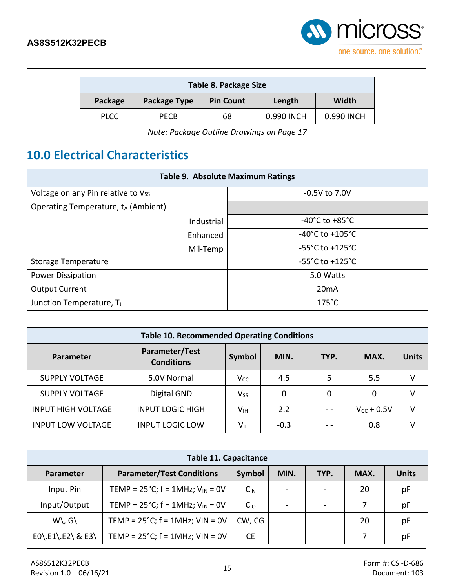

<span id="page-14-1"></span>

| Table 8. Package Size |                                                     |    |            |            |  |
|-----------------------|-----------------------------------------------------|----|------------|------------|--|
| Package               | Width<br>Package Type<br><b>Pin Count</b><br>Length |    |            |            |  |
| <b>PLCC</b>           | <b>PECB</b>                                         | 68 | 0.990 INCH | 0.990 INCH |  |

*Note: Package Outline Drawings on Page 17*

### <span id="page-14-0"></span>**10.0 Electrical Characteristics**

<span id="page-14-2"></span>

| <b>Table 9. Absolute Maximum Ratings</b>        |                                      |  |  |  |  |  |
|-------------------------------------------------|--------------------------------------|--|--|--|--|--|
| Voltage on any Pin relative to Vss              | $-0.5V$ to 7.0V                      |  |  |  |  |  |
| Operating Temperature, t <sub>A</sub> (Ambient) |                                      |  |  |  |  |  |
| Industrial                                      | -40 $^{\circ}$ C to +85 $^{\circ}$ C |  |  |  |  |  |
| Enhanced                                        | $-40^{\circ}$ C to $+105^{\circ}$ C  |  |  |  |  |  |
| Mil-Temp                                        | $-55^{\circ}$ C to $+125^{\circ}$ C  |  |  |  |  |  |
| <b>Storage Temperature</b>                      | $-55^{\circ}$ C to $+125^{\circ}$ C  |  |  |  |  |  |
| <b>Power Dissipation</b>                        | 5.0 Watts                            |  |  |  |  |  |
| <b>Output Current</b>                           | 20mA                                 |  |  |  |  |  |
| $175^{\circ}$ C<br>Junction Temperature, TJ     |                                      |  |  |  |  |  |

<span id="page-14-3"></span>

| <b>Table 10. Recommended Operating Conditions</b> |                                     |                            |        |      |                 |              |
|---------------------------------------------------|-------------------------------------|----------------------------|--------|------|-----------------|--------------|
| Parameter                                         | Parameter/Test<br><b>Conditions</b> | Symbol                     | MIN.   | TYP. | MAX.            | <b>Units</b> |
| <b>SUPPLY VOLTAGE</b>                             | 5.0V Normal                         | $V_{CC}$                   | 4.5    | 5    | 5.5             |              |
| <b>SUPPLY VOLTAGE</b>                             | Digital GND                         | $V_{SS}$                   | 0      | 0    | 0               |              |
| <b>INPUT HIGH VOLTAGE</b>                         | <b>INPUT LOGIC HIGH</b>             | Vıн                        | 2.2    |      | $V_{CC}$ + 0.5V |              |
| <b>INPUT LOW VOLTAGE</b>                          | <b>INPUT LOGIC LOW</b>              | $\mathsf{V}_{\mathsf{IL}}$ | $-0.3$ |      | 0.8             |              |

<span id="page-14-4"></span>

| <b>Table 11. Capacitance</b>  |                                                       |           |      |                          |      |              |
|-------------------------------|-------------------------------------------------------|-----------|------|--------------------------|------|--------------|
| Parameter                     | <b>Parameter/Test Conditions</b>                      | Symbol    | MIN. | TYP.                     | MAX. | <b>Units</b> |
| Input Pin                     | TEMP = $25^{\circ}$ C; f = 1MHz; V <sub>IN</sub> = 0V | $C_{IN}$  |      | $\overline{\phantom{a}}$ | 20   | pF           |
| Input/Output                  | TEMP = $25^{\circ}$ C; f = 1MHz; V <sub>IN</sub> = 0V | $C_{10}$  |      | $\,$                     |      | pF           |
| $W\setminus G\setminus$       | TEMP = $25^{\circ}$ C; f = 1MHz; VIN = 0V             | CW, CG    |      |                          | 20   | pF           |
| $EO\$ , $E1\$ , $E2\$ & $E3\$ | TEMP = $25^{\circ}$ C; f = 1MHz; VIN = 0V             | <b>CE</b> |      |                          |      | pF           |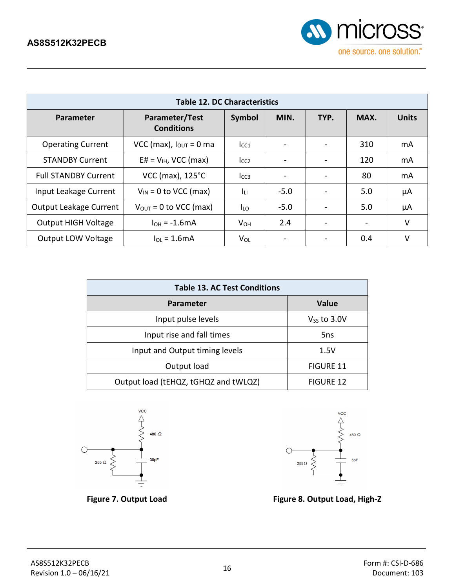

<span id="page-15-2"></span>

| <b>Table 12. DC Characteristics</b> |                                     |                        |        |      |      |              |
|-------------------------------------|-------------------------------------|------------------------|--------|------|------|--------------|
| Parameter                           | Parameter/Test<br><b>Conditions</b> | Symbol                 | MIN.   | TYP. | MAX. | <b>Units</b> |
| <b>Operating Current</b>            | VCC (max), $I_{\text{OUT}} = 0$ ma  | $I_{CC1}$              |        |      | 310  | mA           |
| <b>STANDBY Current</b>              | $E# = V_{H}$ , VCC (max)            | $I_{CC2}$              |        |      | 120  | mA           |
| <b>Full STANDBY Current</b>         | VCC (max), 125°C                    | I <sub>CC3</sub>       |        |      | 80   | mA           |
| Input Leakage Current               | $V_{IN}$ = 0 to VCC (max)           | Īц                     | $-5.0$ |      | 5.0  | μA           |
| <b>Output Leakage Current</b>       | $V_{\text{OUT}} = 0$ to VCC (max)   | Iιo                    | $-5.0$ |      | 5.0  | μA           |
| <b>Output HIGH Voltage</b>          | $IOH = -1.6mA$                      | <b>V</b> <sub>OH</sub> | 2.4    |      |      | V            |
| <b>Output LOW Voltage</b>           | $I_{OL}$ = 1.6mA                    | $V_{OL}$               |        |      | 0.4  | v            |

<span id="page-15-3"></span>

| <b>Table 13. AC Test Conditions</b>  |                  |  |  |  |
|--------------------------------------|------------------|--|--|--|
| <b>Parameter</b>                     | <b>Value</b>     |  |  |  |
| Input pulse levels                   | $V_{SS}$ to 3.0V |  |  |  |
| Input rise and fall times            | 5ns              |  |  |  |
| Input and Output timing levels       | 1.5V             |  |  |  |
| Output load                          | <b>FIGURE 11</b> |  |  |  |
| Output load (tEHQZ, tGHQZ and tWLQZ) | <b>FIGURE 12</b> |  |  |  |



<span id="page-15-0"></span>

<span id="page-15-1"></span>

**Figure 7. Output Load Figure 8. Output Load, High-Z**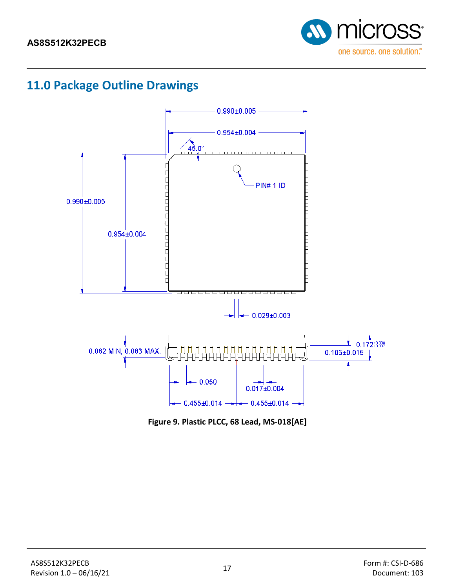

### <span id="page-16-0"></span>**11.0 Package Outline Drawings**



<span id="page-16-1"></span>**Figure 9. Plastic PLCC, 68 Lead, MS-018[AE]**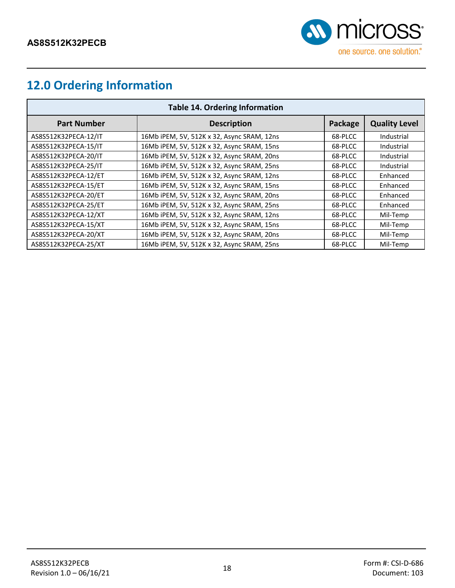

## <span id="page-17-0"></span>**12.0 Ordering Information**

<span id="page-17-1"></span>

| <b>Table 14. Ordering Information</b> |                                            |         |                      |  |  |  |
|---------------------------------------|--------------------------------------------|---------|----------------------|--|--|--|
| <b>Part Number</b>                    | <b>Description</b>                         | Package | <b>Quality Level</b> |  |  |  |
| AS8S512K32PECA-12/IT                  | 16Mb iPEM, 5V, 512K x 32, Async SRAM, 12ns | 68-PLCC | Industrial           |  |  |  |
| AS8S512K32PECA-15/IT                  | 16Mb iPEM, 5V, 512K x 32, Async SRAM, 15ns | 68-PLCC | Industrial           |  |  |  |
| AS8S512K32PECA-20/IT                  | 16Mb iPEM, 5V, 512K x 32, Async SRAM, 20ns | 68-PLCC | Industrial           |  |  |  |
| AS8S512K32PECA-25/IT                  | 16Mb iPEM, 5V, 512K x 32, Async SRAM, 25ns | 68-PLCC | Industrial           |  |  |  |
| AS8S512K32PECA-12/ET                  | 16Mb iPEM, 5V, 512K x 32, Async SRAM, 12ns | 68-PLCC | Enhanced             |  |  |  |
| AS8S512K32PECA-15/ET                  | 16Mb iPEM, 5V, 512K x 32, Async SRAM, 15ns | 68-PLCC | Enhanced             |  |  |  |
| AS8S512K32PECA-20/ET                  | 16Mb iPEM, 5V, 512K x 32, Async SRAM, 20ns | 68-PLCC | Enhanced             |  |  |  |
| AS8S512K32PECA-25/ET                  | 16Mb iPEM, 5V, 512K x 32, Async SRAM, 25ns | 68-PLCC | Enhanced             |  |  |  |
| AS8S512K32PECA-12/XT                  | 16Mb iPEM, 5V, 512K x 32, Async SRAM, 12ns | 68-PLCC | Mil-Temp             |  |  |  |
| AS8S512K32PECA-15/XT                  | 16Mb iPEM, 5V, 512K x 32, Async SRAM, 15ns | 68-PLCC | Mil-Temp             |  |  |  |
| AS8S512K32PECA-20/XT                  | 16Mb iPEM, 5V, 512K x 32, Async SRAM, 20ns | 68-PLCC | Mil-Temp             |  |  |  |
| AS8S512K32PECA-25/XT                  | 16Mb iPEM, 5V, 512K x 32, Async SRAM, 25ns | 68-PLCC | Mil-Temp             |  |  |  |